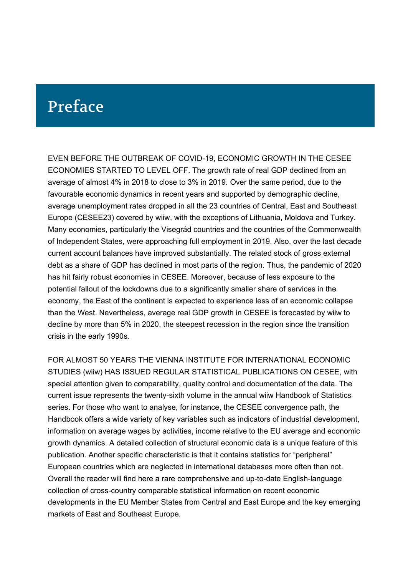# Preface

EVEN BEFORE THE OUTBREAK OF COVID-19, ECONOMIC GROWTH IN THE CESEE ECONOMIES STARTED TO LEVEL OFF. The growth rate of real GDP declined from an average of almost 4% in 2018 to close to 3% in 2019. Over the same period, due to the favourable economic dynamics in recent years and supported by demographic decline, average unemployment rates dropped in all the 23 countries of Central, East and Southeast Europe (CESEE23) covered by wiiw, with the exceptions of Lithuania, Moldova and Turkey. Many economies, particularly the Visegrád countries and the countries of the Commonwealth of Independent States, were approaching full employment in 2019. Also, over the last decade current account balances have improved substantially. The related stock of gross external debt as a share of GDP has declined in most parts of the region. Thus, the pandemic of 2020 has hit fairly robust economies in CESEE. Moreover, because of less exposure to the potential fallout of the lockdowns due to a significantly smaller share of services in the economy, the East of the continent is expected to experience less of an economic collapse than the West. Nevertheless, average real GDP growth in CESEE is forecasted by wiiw to decline by more than 5% in 2020, the steepest recession in the region since the transition crisis in the early 1990s.

FOR ALMOST 50 YEARS THE VIENNA INSTITUTE FOR INTERNATIONAL ECONOMIC STUDIES (wiiw) HAS ISSUED REGULAR STATISTICAL PUBLICATIONS ON CESEE, with special attention given to comparability, quality control and documentation of the data. The current issue represents the twenty-sixth volume in the annual wiiw Handbook of Statistics series. For those who want to analyse, for instance, the CESEE convergence path, the Handbook offers a wide variety of key variables such as indicators of industrial development, information on average wages by activities, income relative to the EU average and economic growth dynamics. A detailed collection of structural economic data is a unique feature of this publication. Another specific characteristic is that it contains statistics for "peripheral" European countries which are neglected in international databases more often than not. Overall the reader will find here a rare comprehensive and up-to-date English-language collection of cross-country comparable statistical information on recent economic developments in the EU Member States from Central and East Europe and the key emerging markets of East and Southeast Europe.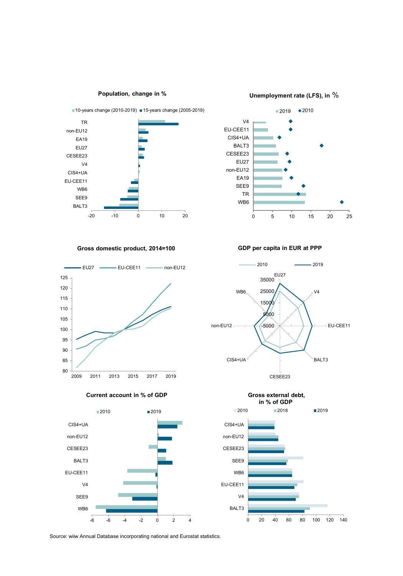

**Population, change in %**

**Unemployment rate (LFS), in** %



**Gross domestic product, 2014=100**



**Current account in % of GDP**



**GDP per capita in EUR at PPP**





Source: wiiw Annual Database incorporating national and Eurostat statistics.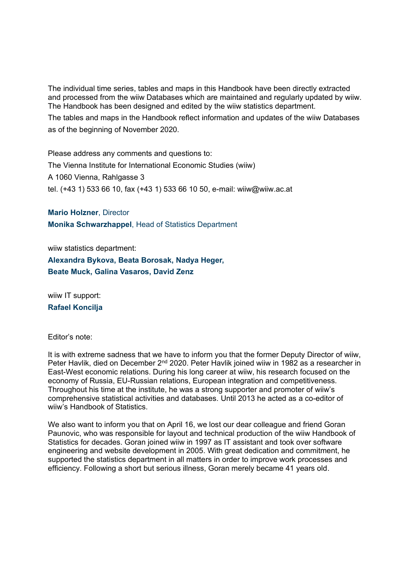The individual time series, tables and maps in this Handbook have been directly extracted and processed from the wiiw Databases which are maintained and regularly updated by wiiw. The Handbook has been designed and edited by the wiiw statistics department.

The tables and maps in the Handbook reflect information and updates of the wiiw Databases as of the beginning of November 2020.

Please address any comments and questions to: The Vienna Institute for International Economic Studies (wiiw) A 1060 Vienna, Rahlgasse 3 tel. (+43 1) 533 66 10, fax (+43 1) 533 66 10 50, e-mail: wiiw@wiiw.ac.at

**Mario Holzner**, Director **Monika Schwarzhappel**, Head of Statistics Department

wiiw statistics department:

**Alexandra Bykova, Beata Borosak, Nadya Heger, Beate Muck, Galina Vasaros, David Zenz**

wiiw IT support: **Rafael Koncilja**

Editor's note:

It is with extreme sadness that we have to inform you that the former Deputy Director of wiiw, Peter Havlik, died on December 2<sup>nd</sup> 2020. Peter Havlik joined wiiw in 1982 as a researcher in East-West economic relations. During his long career at wiiw, his research focused on the economy of Russia, EU-Russian relations, European integration and competitiveness. Throughout his time at the institute, he was a strong supporter and promoter of wiiw's comprehensive statistical activities and databases. Until 2013 he acted as a co-editor of wiiw's Handbook of Statistics.

We also want to inform you that on April 16, we lost our dear colleague and friend Goran Paunovic, who was responsible for layout and technical production of the wiiw Handbook of Statistics for decades. Goran joined wiiw in 1997 as IT assistant and took over software engineering and website development in 2005. With great dedication and commitment, he supported the statistics department in all matters in order to improve work processes and efficiency. Following a short but serious illness, Goran merely became 41 years old.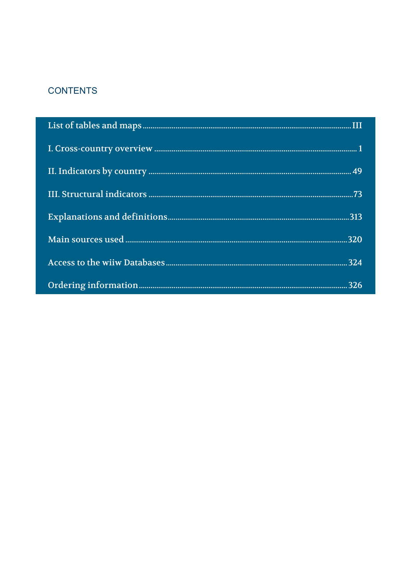## **CONTENTS**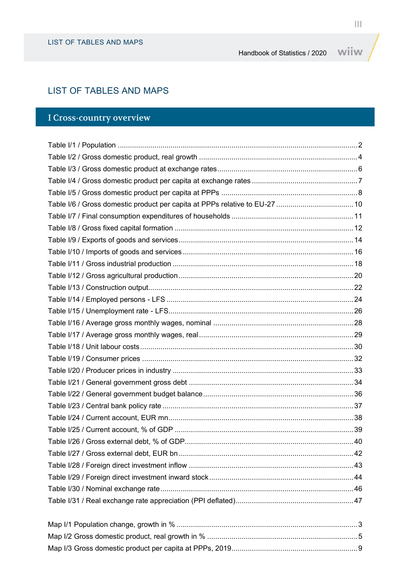### LIST OF TABLES AND MAPS

## I Cross-country overview

| Table I/6 / Gross domestic product per capita at PPPs relative to EU-27  10 |  |
|-----------------------------------------------------------------------------|--|
|                                                                             |  |
|                                                                             |  |
|                                                                             |  |
|                                                                             |  |
|                                                                             |  |
|                                                                             |  |
|                                                                             |  |
|                                                                             |  |
|                                                                             |  |
|                                                                             |  |
|                                                                             |  |
|                                                                             |  |
|                                                                             |  |
|                                                                             |  |
|                                                                             |  |
|                                                                             |  |
|                                                                             |  |
|                                                                             |  |
|                                                                             |  |
|                                                                             |  |
|                                                                             |  |
|                                                                             |  |
|                                                                             |  |
|                                                                             |  |
|                                                                             |  |
|                                                                             |  |
|                                                                             |  |

Map I/3 Gross domestic product per capita at PPPs, 2019..............................................................9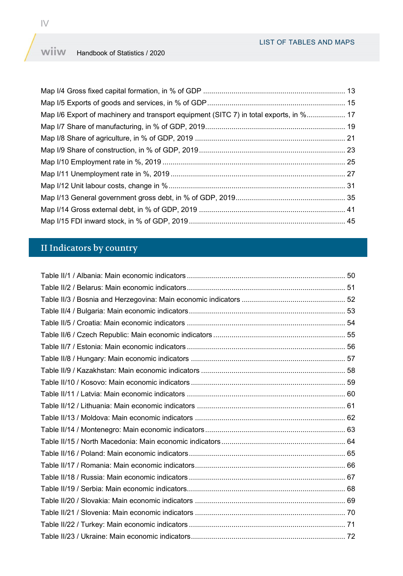#### wiiw Handbook of Statistics / 2020

| Map I/6 Export of machinery and transport equipment (SITC 7) in total exports, in % 17 |  |
|----------------------------------------------------------------------------------------|--|
|                                                                                        |  |
|                                                                                        |  |
|                                                                                        |  |
|                                                                                        |  |
|                                                                                        |  |
|                                                                                        |  |
|                                                                                        |  |
|                                                                                        |  |
|                                                                                        |  |

## II Indicators by country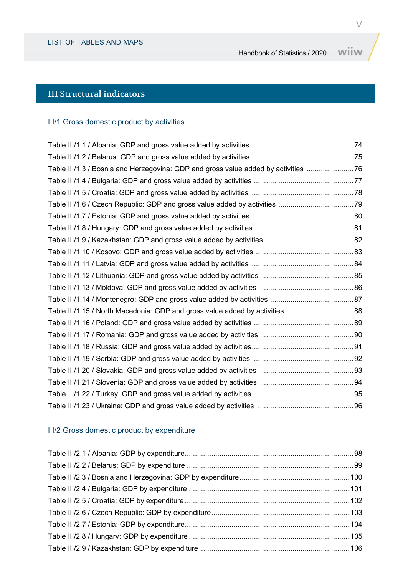## III Structural indicators

#### III/1 Gross domestic product by activities

| Table III/1.3 / Bosnia and Herzegovina: GDP and gross value added by activities  76<br>Table III/1.15 / North Macedonia: GDP and gross value added by activities  88 |  |
|----------------------------------------------------------------------------------------------------------------------------------------------------------------------|--|
|                                                                                                                                                                      |  |
|                                                                                                                                                                      |  |
|                                                                                                                                                                      |  |
|                                                                                                                                                                      |  |
|                                                                                                                                                                      |  |
|                                                                                                                                                                      |  |
|                                                                                                                                                                      |  |
|                                                                                                                                                                      |  |
|                                                                                                                                                                      |  |
|                                                                                                                                                                      |  |
|                                                                                                                                                                      |  |
|                                                                                                                                                                      |  |
|                                                                                                                                                                      |  |
|                                                                                                                                                                      |  |
|                                                                                                                                                                      |  |
|                                                                                                                                                                      |  |
|                                                                                                                                                                      |  |
|                                                                                                                                                                      |  |
|                                                                                                                                                                      |  |
|                                                                                                                                                                      |  |
|                                                                                                                                                                      |  |
|                                                                                                                                                                      |  |

## III/2 Gross domestic product by expenditure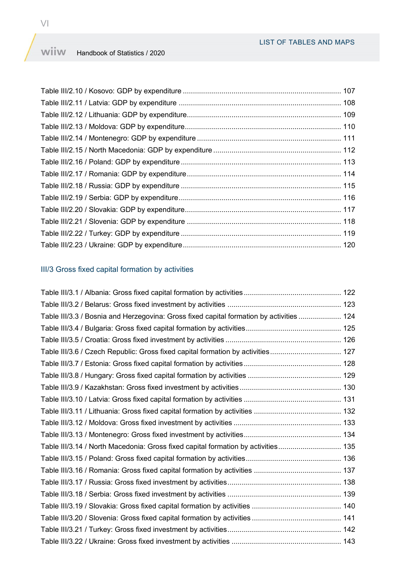#### wiiw Handbook of Statistics / 2020

## III/3 Gross fixed capital formation by activities

| Table III/3.3 / Bosnia and Herzegovina: Gross fixed capital formation by activities  124 |
|------------------------------------------------------------------------------------------|
|                                                                                          |
|                                                                                          |
| Table III/3.6 / Czech Republic: Gross fixed capital formation by activities 127          |
|                                                                                          |
|                                                                                          |
|                                                                                          |
|                                                                                          |
|                                                                                          |
|                                                                                          |
|                                                                                          |
| Table III/3.14 / North Macedonia: Gross fixed capital formation by activities 135        |
|                                                                                          |
|                                                                                          |
|                                                                                          |
|                                                                                          |
|                                                                                          |
|                                                                                          |
|                                                                                          |
|                                                                                          |
|                                                                                          |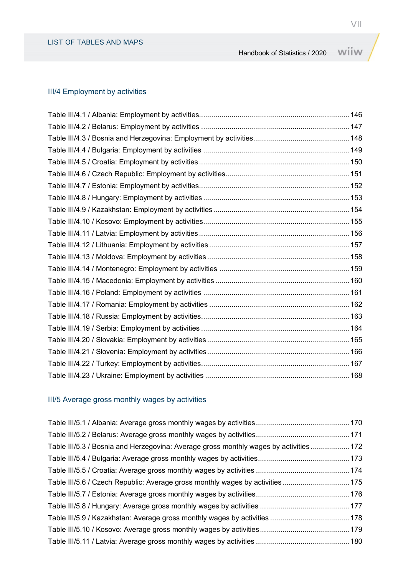#### III/4 Employment by activities

## III/5 Average gross monthly wages by activities

| Table III/5.3 / Bosnia and Herzegovina: Average gross monthly wages by activities  172 |  |
|----------------------------------------------------------------------------------------|--|
|                                                                                        |  |
|                                                                                        |  |
|                                                                                        |  |
|                                                                                        |  |
|                                                                                        |  |
|                                                                                        |  |
|                                                                                        |  |
|                                                                                        |  |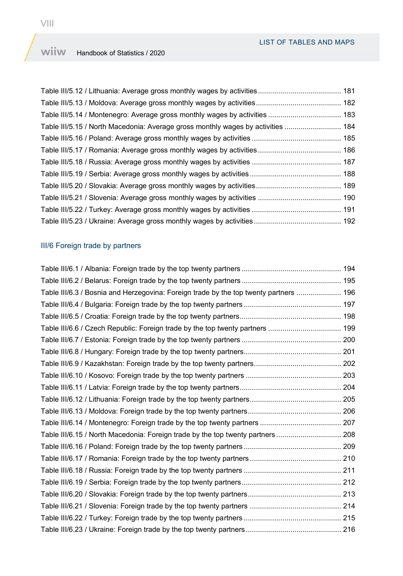#### wiiw Handbook of Statistics / 2020

| Table III/5.15 / North Macedonia: Average gross monthly wages by activities  184 |  |
|----------------------------------------------------------------------------------|--|
|                                                                                  |  |
|                                                                                  |  |
|                                                                                  |  |
|                                                                                  |  |
|                                                                                  |  |
|                                                                                  |  |
|                                                                                  |  |
|                                                                                  |  |

#### III/6 Foreign trade by partners

| Table III/6.3 / Bosnia and Herzegovina: Foreign trade by the top twenty partners  196 |  |
|---------------------------------------------------------------------------------------|--|
|                                                                                       |  |
|                                                                                       |  |
|                                                                                       |  |
|                                                                                       |  |
|                                                                                       |  |
|                                                                                       |  |
|                                                                                       |  |
|                                                                                       |  |
|                                                                                       |  |
|                                                                                       |  |
|                                                                                       |  |
| Table III/6.15 / North Macedonia: Foreign trade by the top twenty partners 208        |  |
|                                                                                       |  |
|                                                                                       |  |
|                                                                                       |  |
|                                                                                       |  |
|                                                                                       |  |
|                                                                                       |  |
|                                                                                       |  |
|                                                                                       |  |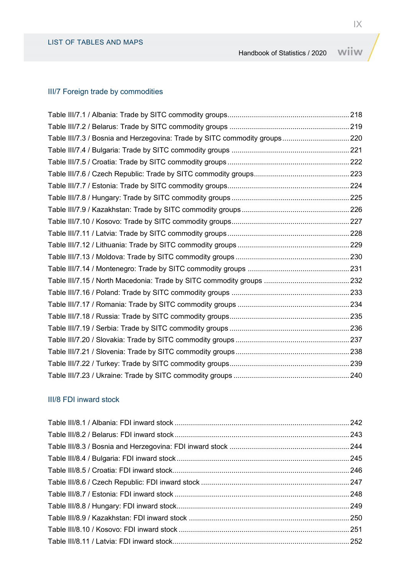#### III/7 Foreign trade by commodities

| Table III/7.3 / Bosnia and Herzegovina: Trade by SITC commodity groups 220 |
|----------------------------------------------------------------------------|
|                                                                            |
|                                                                            |
|                                                                            |
|                                                                            |
|                                                                            |
|                                                                            |
|                                                                            |
|                                                                            |
|                                                                            |
|                                                                            |
|                                                                            |
|                                                                            |
|                                                                            |
|                                                                            |
|                                                                            |
|                                                                            |
|                                                                            |
|                                                                            |
|                                                                            |
|                                                                            |
|                                                                            |

#### III/8 FDI inward stock